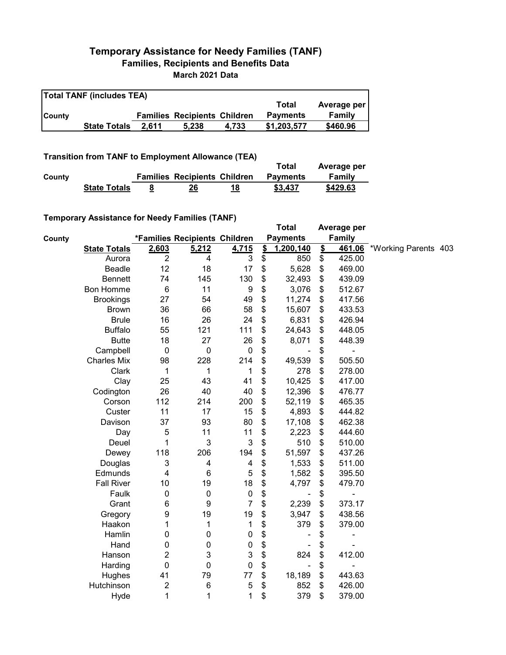## **Temporary Assistance for Needy Families (TANF) Families, Recipients and Benefits Data March 2021 Data**

| <b>Total TANF (includes TEA)</b> |                     |       |                                     |       |                 |             |  |  |
|----------------------------------|---------------------|-------|-------------------------------------|-------|-----------------|-------------|--|--|
|                                  |                     |       |                                     |       | Total           | Average per |  |  |
| <b>County</b>                    |                     |       | <b>Families Recipients Children</b> |       | <b>Payments</b> | Family      |  |  |
|                                  | <b>State Totals</b> | 2.611 | 5.238                               | 4.733 | \$1,203,577     | \$460.96    |  |  |

**Transition from TANF to Employment Allowance (TEA)**

|        |                     |   |                                     |    | Total           | Average per |
|--------|---------------------|---|-------------------------------------|----|-----------------|-------------|
| County |                     |   | <b>Families Recipients Children</b> |    | <b>Payments</b> | Family      |
|        | <b>State Totals</b> | — | 26                                  | 18 | \$3.437         | \$429.63    |

## **Temporary Assistance for Needy Families (TANF)**

| $\frac{1}{2}$ . Notice that is a second to the contract of $\frac{1}{2}$ . The contract of $\frac{1}{2}$ |                           |                               |                           | <b>Total</b>         |               | Average per                  |                      |  |
|----------------------------------------------------------------------------------------------------------|---------------------------|-------------------------------|---------------------------|----------------------|---------------|------------------------------|----------------------|--|
| County                                                                                                   |                           | *Families Recipients Children |                           | <b>Payments</b>      |               | <b>Family</b>                |                      |  |
| <b>State Totals</b>                                                                                      | 2,603                     | 5,212                         | 4,715                     | \$<br>1,200,140      | $\frac{1}{2}$ | 461.06                       | *Working Parents 403 |  |
| Aurora                                                                                                   | $\overline{2}$            | 4                             | 3                         | \$<br>850            | \$            | 425.00                       |                      |  |
| Beadle                                                                                                   | 12                        | 18                            | 17                        | \$<br>5,628          | \$            | 469.00                       |                      |  |
| <b>Bennett</b>                                                                                           | 74                        | 145                           | 130                       | \$<br>32,493         | \$            | 439.09                       |                      |  |
| <b>Bon Homme</b>                                                                                         | $\,6$                     | 11                            | 9                         | \$<br>3,076          | \$            | 512.67                       |                      |  |
| <b>Brookings</b>                                                                                         | 27                        | 54                            | 49                        | \$<br>11,274         | \$            | 417.56                       |                      |  |
| <b>Brown</b>                                                                                             | 36                        | 66                            | 58                        | \$<br>15,607         | \$            | 433.53                       |                      |  |
| <b>Brule</b>                                                                                             | 16                        | 26                            | 24                        | \$<br>6,831          | \$            | 426.94                       |                      |  |
| <b>Buffalo</b>                                                                                           | 55                        | 121                           | 111                       | \$<br>24,643         | \$            | 448.05                       |                      |  |
| <b>Butte</b>                                                                                             | 18                        | 27                            | 26                        | \$<br>8,071          | \$            | 448.39                       |                      |  |
| Campbell                                                                                                 | $\boldsymbol{0}$          | 0                             | $\pmb{0}$                 | \$                   | \$            |                              |                      |  |
| <b>Charles Mix</b>                                                                                       | 98                        | 228                           | 214                       | \$<br>49,539         | \$            | 505.50                       |                      |  |
| Clark                                                                                                    | 1                         | 1                             | 1                         | \$<br>278            | \$            | 278.00                       |                      |  |
| Clay                                                                                                     | 25                        | 43                            | 41                        | \$<br>10,425         | \$            | 417.00                       |                      |  |
| Codington                                                                                                | 26                        | 40                            | 40                        | \$<br>12,396         | \$            | 476.77                       |                      |  |
| Corson                                                                                                   | 112                       | 214                           | 200                       | \$<br>52,119         | \$            | 465.35                       |                      |  |
| Custer                                                                                                   | 11                        | 17                            | 15                        | \$<br>4,893          | \$            | 444.82                       |                      |  |
| Davison                                                                                                  | 37                        | 93                            | 80                        | \$<br>17,108         | \$            | 462.38                       |                      |  |
| Day                                                                                                      | 5                         | 11                            | 11                        | \$<br>2,223          | \$            | 444.60                       |                      |  |
| Deuel                                                                                                    | 1                         | 3                             | $\ensuremath{\mathsf{3}}$ | \$<br>510            | \$            | 510.00                       |                      |  |
| Dewey                                                                                                    | 118                       | 206                           | 194                       | \$<br>51,597         | \$            | 437.26                       |                      |  |
| Douglas                                                                                                  | $\ensuremath{\mathsf{3}}$ | $\overline{\mathbf{4}}$       | 4                         | \$<br>1,533          | \$            | 511.00                       |                      |  |
| Edmunds                                                                                                  | 4                         | $6\phantom{1}6$               | 5                         | \$<br>1,582          | \$            | 395.50                       |                      |  |
| <b>Fall River</b>                                                                                        | 10                        | 19                            | 18                        | \$<br>4,797          | \$            | 479.70                       |                      |  |
| Faulk                                                                                                    | $\boldsymbol{0}$          | $\pmb{0}$                     | $\pmb{0}$                 | \$<br>$\blacksquare$ | \$            | -                            |                      |  |
| Grant                                                                                                    | 6                         | 9                             | $\overline{7}$            | \$<br>2,239          | \$            | 373.17                       |                      |  |
| Gregory                                                                                                  | 9                         | 19                            | 19                        | \$<br>3,947          | \$            | 438.56                       |                      |  |
| Haakon                                                                                                   | 1                         | 1                             | 1                         | \$<br>379            | \$            | 379.00                       |                      |  |
| Hamlin                                                                                                   | 0                         | 0                             | $\pmb{0}$                 | \$                   | \$            | $\overline{\phantom{0}}$     |                      |  |
| Hand                                                                                                     | 0                         | 0                             | $\pmb{0}$                 | \$                   | \$            |                              |                      |  |
| Hanson                                                                                                   | 2                         | 3                             | 3                         | \$<br>824            | \$            | 412.00                       |                      |  |
| Harding                                                                                                  | $\mathbf 0$               | 0                             | $\mathbf 0$               | \$<br>÷              | \$            | $\qquad \qquad \blacksquare$ |                      |  |
| Hughes                                                                                                   | 41                        | 79                            | 77                        | \$<br>18,189         | \$            | 443.63                       |                      |  |
| Hutchinson                                                                                               | $\overline{c}$            | 6                             | 5                         | \$<br>852            | \$            | 426.00                       |                      |  |
| Hyde                                                                                                     | 1                         | 1                             | 1                         | \$<br>379            | \$            | 379.00                       |                      |  |
|                                                                                                          |                           |                               |                           |                      |               |                              |                      |  |